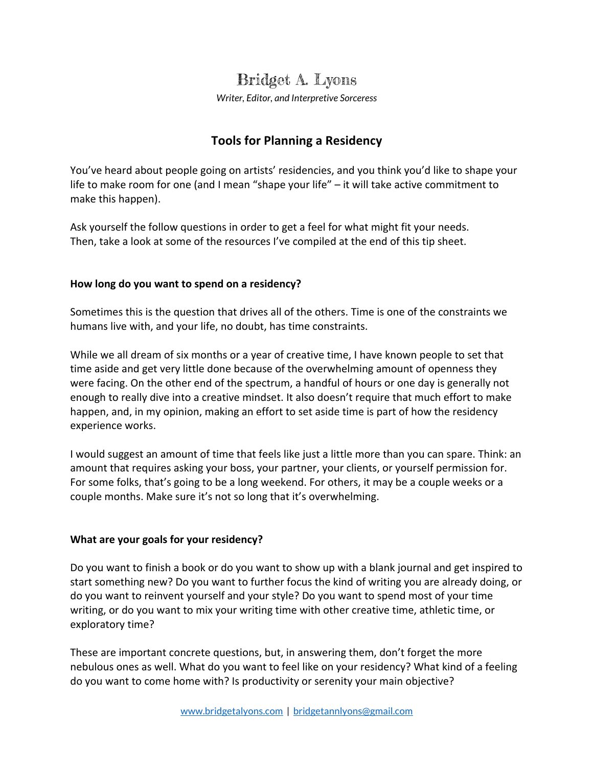# Bridget A. Lyons

*Writer, Editor, and Interpretive Sorceress*

# **Tools for Planning a Residency**

You've heard about people going on artists' residencies, and you think you'd like to shape your life to make room for one (and I mean "shape your life"  $-$  it will take active commitment to make this happen).

Ask yourself the follow questions in order to get a feel for what might fit your needs. Then, take a look at some of the resources I've compiled at the end of this tip sheet.

# How long do you want to spend on a residency?

Sometimes this is the question that drives all of the others. Time is one of the constraints we humans live with, and your life, no doubt, has time constraints.

While we all dream of six months or a year of creative time, I have known people to set that time aside and get very little done because of the overwhelming amount of openness they were facing. On the other end of the spectrum, a handful of hours or one day is generally not enough to really dive into a creative mindset. It also doesn't require that much effort to make happen, and, in my opinion, making an effort to set aside time is part of how the residency experience works.

I would suggest an amount of time that feels like just a little more than you can spare. Think: an amount that requires asking your boss, your partner, your clients, or yourself permission for. For some folks, that's going to be a long weekend. For others, it may be a couple weeks or a couple months. Make sure it's not so long that it's overwhelming.

# **What are your goals for your residency?**

Do you want to finish a book or do you want to show up with a blank journal and get inspired to start something new? Do you want to further focus the kind of writing you are already doing, or do you want to reinvent yourself and your style? Do you want to spend most of your time writing, or do you want to mix your writing time with other creative time, athletic time, or exploratory time?

These are important concrete questions, but, in answering them, don't forget the more nebulous ones as well. What do you want to feel like on your residency? What kind of a feeling do you want to come home with? Is productivity or serenity your main objective?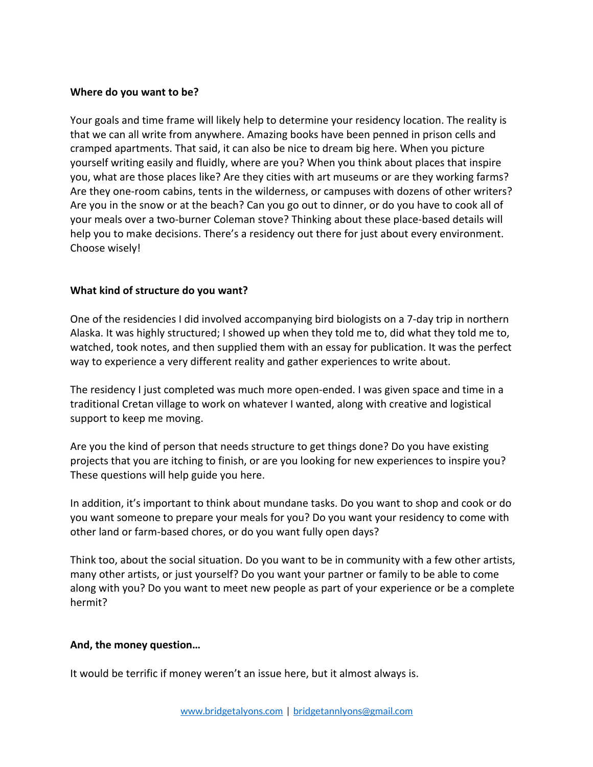#### **Where do you want to be?**

Your goals and time frame will likely help to determine your residency location. The reality is that we can all write from anywhere. Amazing books have been penned in prison cells and cramped apartments. That said, it can also be nice to dream big here. When you picture yourself writing easily and fluidly, where are you? When you think about places that inspire you, what are those places like? Are they cities with art museums or are they working farms? Are they one-room cabins, tents in the wilderness, or campuses with dozens of other writers? Are you in the snow or at the beach? Can you go out to dinner, or do you have to cook all of your meals over a two-burner Coleman stove? Thinking about these place-based details will help you to make decisions. There's a residency out there for just about every environment. Choose wisely!

#### **What kind of structure do you want?**

One of the residencies I did involved accompanying bird biologists on a 7-day trip in northern Alaska. It was highly structured; I showed up when they told me to, did what they told me to, watched, took notes, and then supplied them with an essay for publication. It was the perfect way to experience a very different reality and gather experiences to write about.

The residency I just completed was much more open-ended. I was given space and time in a traditional Cretan village to work on whatever I wanted, along with creative and logistical support to keep me moving.

Are you the kind of person that needs structure to get things done? Do you have existing projects that you are itching to finish, or are you looking for new experiences to inspire you? These questions will help guide you here.

In addition, it's important to think about mundane tasks. Do you want to shop and cook or do you want someone to prepare your meals for you? Do you want your residency to come with other land or farm-based chores, or do you want fully open days?

Think too, about the social situation. Do you want to be in community with a few other artists, many other artists, or just yourself? Do you want your partner or family to be able to come along with you? Do you want to meet new people as part of your experience or be a complete hermit?

#### And, the money question...

It would be terrific if money weren't an issue here, but it almost always is.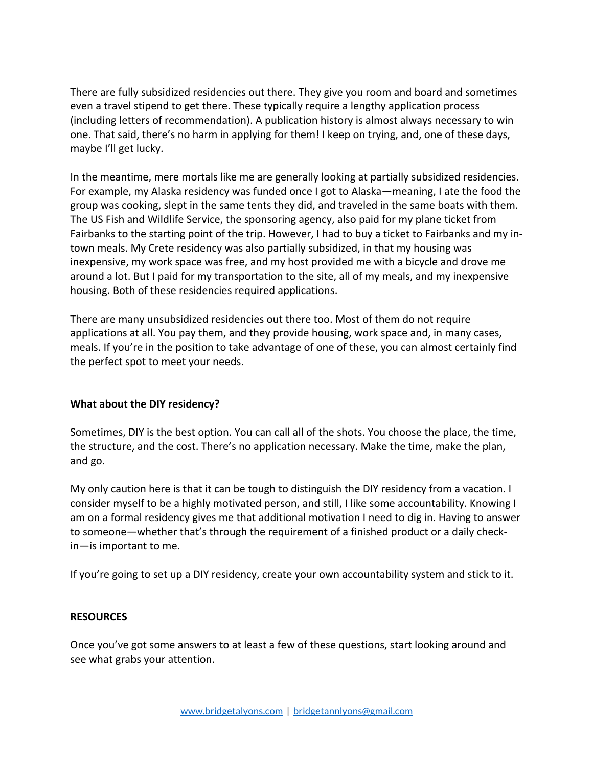There are fully subsidized residencies out there. They give you room and board and sometimes even a travel stipend to get there. These typically require a lengthy application process (including letters of recommendation). A publication history is almost always necessary to win one. That said, there's no harm in applying for them! I keep on trying, and, one of these days, maybe I'll get lucky.

In the meantime, mere mortals like me are generally looking at partially subsidized residencies. For example, my Alaska residency was funded once I got to Alaska—meaning, I ate the food the group was cooking, slept in the same tents they did, and traveled in the same boats with them. The US Fish and Wildlife Service, the sponsoring agency, also paid for my plane ticket from Fairbanks to the starting point of the trip. However, I had to buy a ticket to Fairbanks and my intown meals. My Crete residency was also partially subsidized, in that my housing was inexpensive, my work space was free, and my host provided me with a bicycle and drove me around a lot. But I paid for my transportation to the site, all of my meals, and my inexpensive housing. Both of these residencies required applications.

There are many unsubsidized residencies out there too. Most of them do not require applications at all. You pay them, and they provide housing, work space and, in many cases, meals. If you're in the position to take advantage of one of these, you can almost certainly find the perfect spot to meet your needs.

# **What about the DIY residency?**

Sometimes, DIY is the best option. You can call all of the shots. You choose the place, the time, the structure, and the cost. There's no application necessary. Make the time, make the plan, and go.

My only caution here is that it can be tough to distinguish the DIY residency from a vacation. I consider myself to be a highly motivated person, and still, I like some accountability. Knowing I am on a formal residency gives me that additional motivation I need to dig in. Having to answer to someone—whether that's through the requirement of a finished product or a daily check $in$ —is important to me.

If you're going to set up a DIY residency, create your own accountability system and stick to it.

#### **RESOURCES**

Once you've got some answers to at least a few of these questions, start looking around and see what grabs your attention.